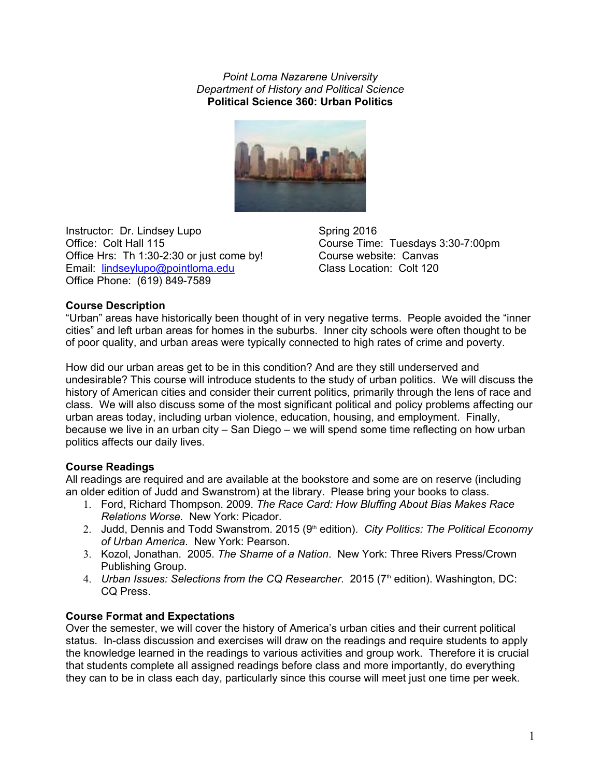*Point Loma Nazarene University Department of History and Political Science* **Political Science 360: Urban Politics**



Instructor: Dr. Lindsey Lupo Spring 2016<br>
Office: Colt Hall 115 Course Time Office Hrs: Th 1:30-2:30 or just come by! Course website: Canvas Email: lindseylupo@pointloma.edu Class Location: Colt 120 Office Phone: (619) 849-7589

Course Time: Tuesdays 3:30-7:00pm

# **Course Description**

"Urban" areas have historically been thought of in very negative terms. People avoided the "inner cities" and left urban areas for homes in the suburbs. Inner city schools were often thought to be of poor quality, and urban areas were typically connected to high rates of crime and poverty.

How did our urban areas get to be in this condition? And are they still underserved and undesirable? This course will introduce students to the study of urban politics. We will discuss the history of American cities and consider their current politics, primarily through the lens of race and class. We will also discuss some of the most significant political and policy problems affecting our urban areas today, including urban violence, education, housing, and employment. Finally, because we live in an urban city – San Diego – we will spend some time reflecting on how urban politics affects our daily lives.

## **Course Readings**

All readings are required and are available at the bookstore and some are on reserve (including an older edition of Judd and Swanstrom) at the library. Please bring your books to class.

- 1. Ford, Richard Thompson. 2009. *The Race Card: How Bluffing About Bias Makes Race Relations Worse.*  New York: Picador.
- 2. Judd, Dennis and Todd Swanstrom. 2015 (9<sup>th</sup> edition). *City Politics: The Political Economy of Urban America*. New York: Pearson.
- 3. Kozol, Jonathan. 2005. *The Shame of a Nation*. New York: Three Rivers Press/Crown Publishing Group.
- 4. *Urban Issues: Selections from the CQ Researcher.* 2015 (7<sup>th</sup> edition). Washington, DC: CQ Press.

## **Course Format and Expectations**

Over the semester, we will cover the history of America's urban cities and their current political status. In-class discussion and exercises will draw on the readings and require students to apply the knowledge learned in the readings to various activities and group work. Therefore it is crucial that students complete all assigned readings before class and more importantly, do everything they can to be in class each day, particularly since this course will meet just one time per week.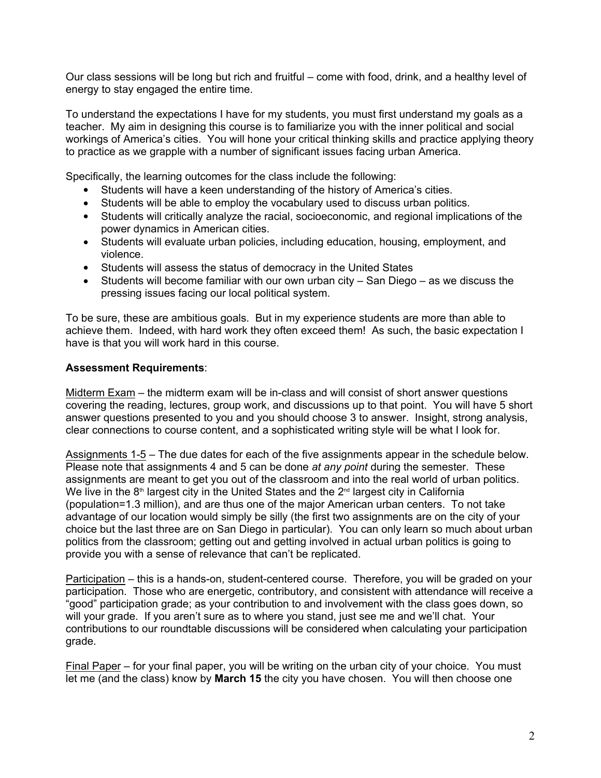Our class sessions will be long but rich and fruitful – come with food, drink, and a healthy level of energy to stay engaged the entire time.

To understand the expectations I have for my students, you must first understand my goals as a teacher. My aim in designing this course is to familiarize you with the inner political and social workings of America's cities. You will hone your critical thinking skills and practice applying theory to practice as we grapple with a number of significant issues facing urban America.

Specifically, the learning outcomes for the class include the following:

- Students will have a keen understanding of the history of America's cities.
- Students will be able to employ the vocabulary used to discuss urban politics.
- Students will critically analyze the racial, socioeconomic, and regional implications of the power dynamics in American cities.
- Students will evaluate urban policies, including education, housing, employment, and violence.
- Students will assess the status of democracy in the United States
- Students will become familiar with our own urban city San Diego as we discuss the pressing issues facing our local political system.

To be sure, these are ambitious goals. But in my experience students are more than able to achieve them. Indeed, with hard work they often exceed them! As such, the basic expectation I have is that you will work hard in this course.

# **Assessment Requirements**:

Midterm Exam – the midterm exam will be in-class and will consist of short answer questions covering the reading, lectures, group work, and discussions up to that point. You will have 5 short answer questions presented to you and you should choose 3 to answer. Insight, strong analysis, clear connections to course content, and a sophisticated writing style will be what I look for.

Assignments 15 – The due dates for each of the five assignments appear in the schedule below. Please note that assignments 4 and 5 can be done *at any point* during the semester. These assignments are meant to get you out of the classroom and into the real world of urban politics. We live in the 8<sup>th</sup> largest city in the United States and the 2<sup>nd</sup> largest city in California (population=1.3 million), and are thus one of the major American urban centers. To not take advantage of our location would simply be silly (the first two assignments are on the city of your choice but the last three are on San Diego in particular). You can only learn so much about urban politics from the classroom; getting out and getting involved in actual urban politics is going to provide you with a sense of relevance that can't be replicated.

Participation – this is a hands-on, student-centered course. Therefore, you will be graded on your participation. Those who are energetic, contributory, and consistent with attendance will receive a "good" participation grade; as your contribution to and involvement with the class goes down, so will your grade. If you aren't sure as to where you stand, just see me and we'll chat. Your contributions to our roundtable discussions will be considered when calculating your participation grade.

Final Paper – for your final paper, you will be writing on the urban city of your choice. You must let me (and the class) know by **March 15** the city you have chosen. You will then choose one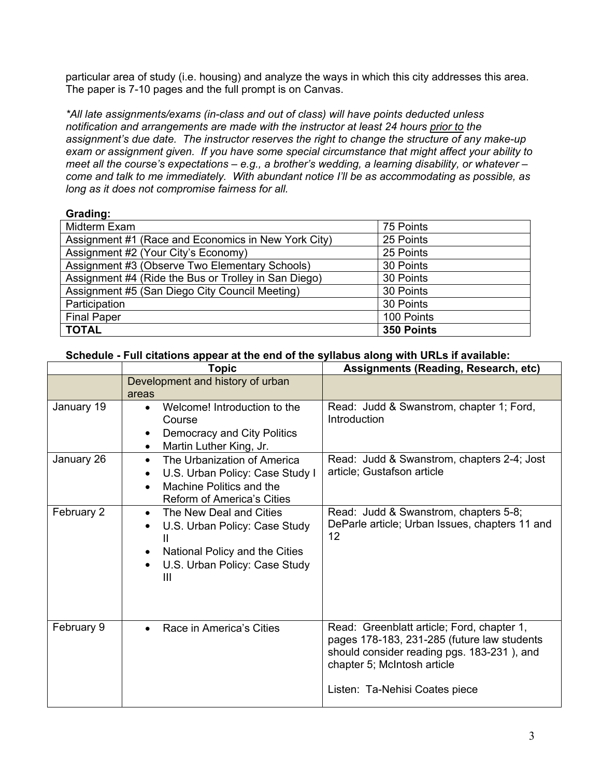particular area of study (i.e. housing) and analyze the ways in which this city addresses this area. The paper is 7-10 pages and the full prompt is on Canvas.

*\*All late assignments/exams (inclass and out of class) will have points deducted unless notification and arrangements are made with the instructor at least 24 hours prior to the*  assignment's due date. The instructor reserves the right to change the structure of any make-up *exam or assignment given. If you have some special circumstance that might affect your ability to meet all the course's expectations – e.g., a brother's wedding, a learning disability, or whatever – come and talk to me immediately. With abundant notice I'll be as accommodating as possible, as long as it does not compromise fairness for all.*

# **Grading:**

| Midterm Exam                                         | 75 Points  |
|------------------------------------------------------|------------|
| Assignment #1 (Race and Economics in New York City)  | 25 Points  |
| Assignment #2 (Your City's Economy)                  | 25 Points  |
| Assignment #3 (Observe Two Elementary Schools)       | 30 Points  |
| Assignment #4 (Ride the Bus or Trolley in San Diego) | 30 Points  |
| Assignment #5 (San Diego City Council Meeting)       | 30 Points  |
| Participation                                        | 30 Points  |
| <b>Final Paper</b>                                   | 100 Points |
| <b>TOTAL</b>                                         | 350 Points |

## **Schedule Full citations appear at the end of the syllabus along with URLs if available:**

|            | Topic                                                                                                                                                                                | Assignments (Reading, Research, etc)                                                                                                                                                                     |  |
|------------|--------------------------------------------------------------------------------------------------------------------------------------------------------------------------------------|----------------------------------------------------------------------------------------------------------------------------------------------------------------------------------------------------------|--|
|            | Development and history of urban<br>areas                                                                                                                                            |                                                                                                                                                                                                          |  |
| January 19 | Welcome! Introduction to the<br>$\bullet$<br>Course<br>Democracy and City Politics<br>$\bullet$<br>Martin Luther King, Jr.<br>$\bullet$                                              | Read: Judd & Swanstrom, chapter 1; Ford,<br>Introduction                                                                                                                                                 |  |
| January 26 | The Urbanization of America<br>$\bullet$<br>U.S. Urban Policy: Case Study I<br>$\bullet$<br>Machine Politics and the<br>$\bullet$<br>Reform of America's Cities                      | Read: Judd & Swanstrom, chapters 2-4; Jost<br>article; Gustafson article                                                                                                                                 |  |
| February 2 | The New Deal and Cities<br>$\bullet$<br>U.S. Urban Policy: Case Study<br>$\bullet$<br>National Policy and the Cities<br>$\bullet$<br>U.S. Urban Policy: Case Study<br>$\bullet$<br>Ш | Read: Judd & Swanstrom, chapters 5-8;<br>DeParle article; Urban Issues, chapters 11 and<br>12                                                                                                            |  |
| February 9 | Race in America's Cities<br>$\bullet$                                                                                                                                                | Read: Greenblatt article; Ford, chapter 1,<br>pages 178-183, 231-285 (future law students<br>should consider reading pgs. 183-231), and<br>chapter 5; McIntosh article<br>Listen: Ta-Nehisi Coates piece |  |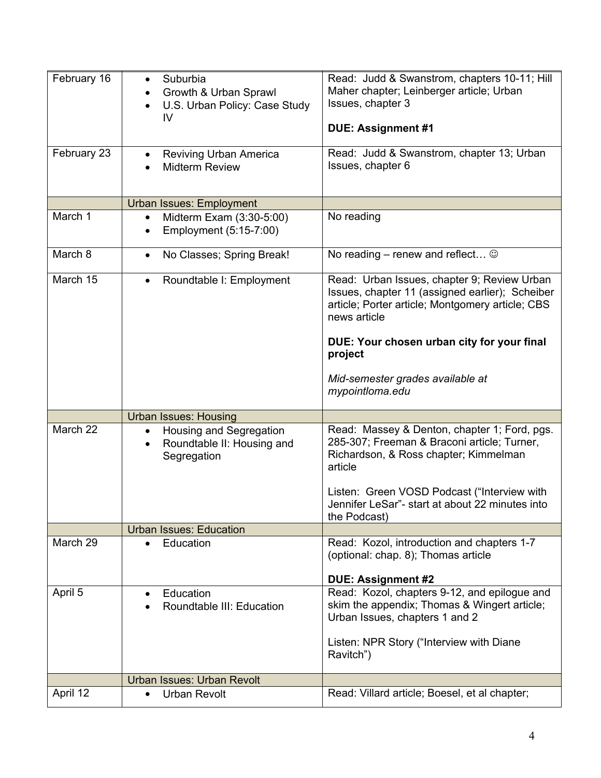| February 16 | Suburbia<br>Growth & Urban Sprawl<br>U.S. Urban Policy: Case Study<br>IV                       | Read: Judd & Swanstrom, chapters 10-11; Hill<br>Maher chapter; Leinberger article; Urban<br>Issues, chapter 3<br><b>DUE: Assignment #1</b>                                                                                  |
|-------------|------------------------------------------------------------------------------------------------|-----------------------------------------------------------------------------------------------------------------------------------------------------------------------------------------------------------------------------|
| February 23 | <b>Reviving Urban America</b><br><b>Midterm Review</b>                                         | Read: Judd & Swanstrom, chapter 13; Urban<br>Issues, chapter 6                                                                                                                                                              |
|             | <b>Urban Issues: Employment</b>                                                                |                                                                                                                                                                                                                             |
| March 1     | Midterm Exam (3:30-5:00)<br>Employment (5:15-7:00)                                             | No reading                                                                                                                                                                                                                  |
| March 8     | No Classes; Spring Break!<br>$\bullet$                                                         | No reading – renew and reflect $\odot$                                                                                                                                                                                      |
| March 15    | Roundtable I: Employment                                                                       | Read: Urban Issues, chapter 9; Review Urban<br>Issues, chapter 11 (assigned earlier); Scheiber<br>article; Porter article; Montgomery article; CBS<br>news article<br>DUE: Your chosen urban city for your final<br>project |
|             |                                                                                                | Mid-semester grades available at<br>mypointloma.edu                                                                                                                                                                         |
|             | <b>Urban Issues: Housing</b>                                                                   |                                                                                                                                                                                                                             |
| March 22    | Housing and Segregation<br>$\bullet$<br>Roundtable II: Housing and<br>$\bullet$<br>Segregation | Read: Massey & Denton, chapter 1; Ford, pgs.<br>285-307; Freeman & Braconi article; Turner,<br>Richardson, & Ross chapter; Kimmelman<br>article                                                                             |
|             |                                                                                                | Listen: Green VOSD Podcast ("Interview with<br>Jennifer LeSar"- start at about 22 minutes into<br>the Podcast)                                                                                                              |
|             | <b>Urban Issues: Education</b>                                                                 |                                                                                                                                                                                                                             |
| March 29    | Education<br>$\bullet$                                                                         | Read: Kozol, introduction and chapters 1-7<br>(optional: chap. 8); Thomas article<br><b>DUE: Assignment #2</b>                                                                                                              |
| April 5     | Education<br>Roundtable III: Education                                                         | Read: Kozol, chapters 9-12, and epilogue and<br>skim the appendix; Thomas & Wingert article;<br>Urban Issues, chapters 1 and 2                                                                                              |
|             |                                                                                                | Listen: NPR Story ("Interview with Diane<br>Ravitch")                                                                                                                                                                       |
|             | <b>Urban Issues: Urban Revolt</b>                                                              |                                                                                                                                                                                                                             |
| April 12    | <b>Urban Revolt</b>                                                                            | Read: Villard article; Boesel, et al chapter;                                                                                                                                                                               |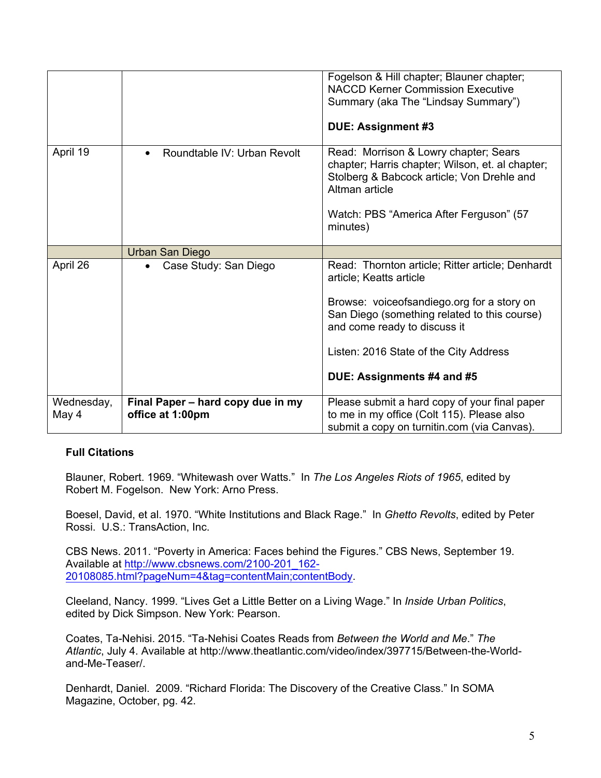| April 19            | Roundtable IV: Urban Revolt<br>$\bullet$              | Fogelson & Hill chapter; Blauner chapter;<br><b>NACCD Kerner Commission Executive</b><br>Summary (aka The "Lindsay Summary")<br>DUE: Assignment #3<br>Read: Morrison & Lowry chapter; Sears                                                                                       |
|---------------------|-------------------------------------------------------|-----------------------------------------------------------------------------------------------------------------------------------------------------------------------------------------------------------------------------------------------------------------------------------|
|                     |                                                       | chapter; Harris chapter; Wilson, et. al chapter;<br>Stolberg & Babcock article; Von Drehle and<br>Altman article<br>Watch: PBS "America After Ferguson" (57<br>minutes)                                                                                                           |
|                     | Urban San Diego                                       |                                                                                                                                                                                                                                                                                   |
| April 26            | Case Study: San Diego<br>$\bullet$                    | Read: Thornton article; Ritter article; Denhardt<br>article; Keatts article<br>Browse: voiceofsandiego.org for a story on<br>San Diego (something related to this course)<br>and come ready to discuss it<br>Listen: 2016 State of the City Address<br>DUE: Assignments #4 and #5 |
| Wednesday,<br>May 4 | Final Paper - hard copy due in my<br>office at 1:00pm | Please submit a hard copy of your final paper<br>to me in my office (Colt 115). Please also<br>submit a copy on turnitin.com (via Canvas).                                                                                                                                        |

## **Full Citations**

Blauner, Robert. 1969. "Whitewash over Watts." In *The Los Angeles Riots of 1965*, edited by Robert M. Fogelson. New York: Arno Press.

Boesel, David, et al. 1970. "White Institutions and Black Rage." In *Ghetto Revolts*, edited by Peter Rossi. U.S.: TransAction, Inc.

CBS News. 2011. "Poverty in America: Faces behind the Figures." CBS News, September 19. Available at http://www.cbsnews.com/2100-201\_162-20108085.html?pageNum=4&tag=contentMain;contentBody.

Cleeland, Nancy. 1999. "Lives Get a Little Better on a Living Wage." In *Inside Urban Politics*, edited by Dick Simpson. New York: Pearson.

Coates, Ta-Nehisi. 2015. "Ta-Nehisi Coates Reads from *Between the World and Me.*" The Atlantic, July 4. Available at http://www.theatlantic.com/video/index/397715/Between-the-Worldand-Me-Teaser/.

Denhardt, Daniel. 2009. "Richard Florida: The Discovery of the Creative Class." In SOMA Magazine, October, pg. 42.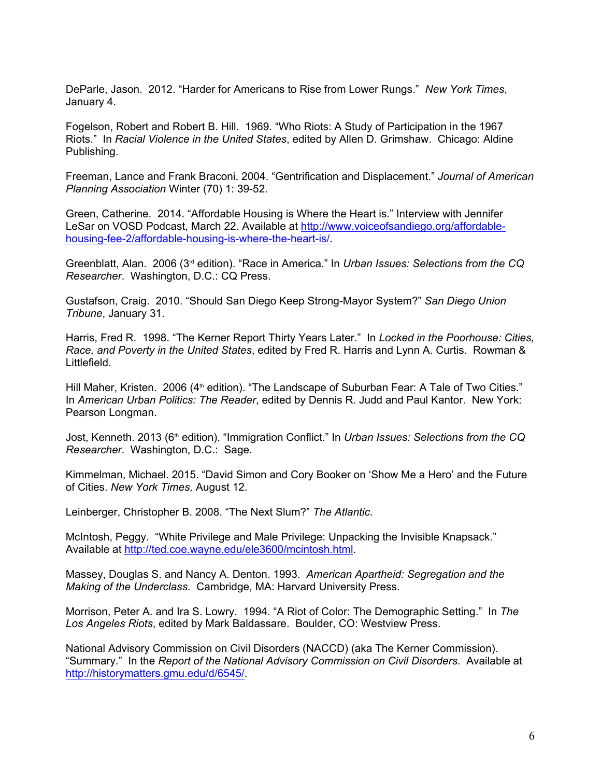DeParle, Jason. 2012. "Harder for Americans to Rise from Lower Rungs." *New York Times*, January 4.

Fogelson, Robert and Robert B. Hill. 1969. "Who Riots: A Study of Participation in the 1967 Riots." In *Racial Violence in the United States*, edited by Allen D. Grimshaw. Chicago: Aldine Publishing.

Freeman, Lance and Frank Braconi. 2004. "Gentrification and Displacement." *Journal of American Planning Association Winter (70) 1: 39-52.* 

Green, Catherine. 2014. "Affordable Housing is Where the Heart is." Interview with Jennifer LeSar on VOSD Podcast, March 22. Available at http://www.voiceofsandiego.org/affordablehousing-fee-2/affordable-housing-is-where-the-heart-is/.

Greenblatt, Alan. 2006 (3rd edition). "Race in America." In *Urban Issues: Selections from the CQ Researcher*. Washington, D.C.: CQ Press.

Gustafson, Craig. 2010. "Should San Diego Keep StrongMayor System?" *San Diego Union Tribune*, January 31.

Harris, Fred R. 1998. "The Kerner Report Thirty Years Later." In *Locked in the Poorhouse: Cities, Race, and Poverty in the United States*, edited by Fred R. Harris and Lynn A. Curtis. Rowman & Littlefield.

Hill Maher, Kristen. 2006 (4<sup>th</sup> edition). "The Landscape of Suburban Fear: A Tale of Two Cities." In *American Urban Politics: The Reader*, edited by Dennis R. Judd and Paul Kantor. New York: Pearson Longman.

Jost, Kenneth. 2013 (6<sup>th</sup> edition). "Immigration Conflict." In *Urban Issues: Selections from the CQ Researcher*. Washington, D.C.: Sage.

Kimmelman, Michael. 2015. "David Simon and Cory Booker on 'Show Me a Hero' and the Future of Cities. *New York Times,* August 12.

Leinberger, Christopher B. 2008. "The Next Slum?" *The Atlantic*.

McIntosh, Peggy. "White Privilege and Male Privilege: Unpacking the Invisible Knapsack." Available at http://ted.coe.wayne.edu/ele3600/mcintosh.html.

Massey, Douglas S. and Nancy A. Denton. 1993. *American Apartheid: Segregation and the Making of the Underclass*. Cambridge, MA: Harvard University Press.

Morrison, Peter A. and Ira S. Lowry. 1994. "A Riot of Color: The Demographic Setting." In *The Los Angeles Riots*, edited by Mark Baldassare. Boulder, CO: Westview Press.

National Advisory Commission on Civil Disorders (NACCD) (aka The Kerner Commission). "Summary." In the *Report of the National Advisory Commission on Civil Disorders*. Available at http://historymatters.gmu.edu/d/6545/.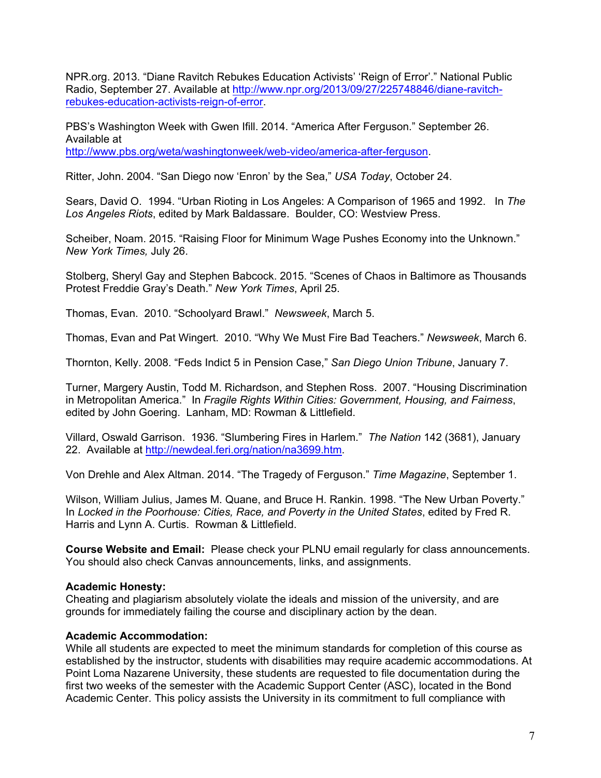NPR.org. 2013. "Diane Ravitch Rebukes Education Activists' 'Reign of Error'." National Public Radio, September 27. Available at http://www.npr.org/2013/09/27/225748846/diane-ravitchrebukes-education-activists-reign-of-error.

PBS's Washington Week with Gwen Ifill. 2014. "America After Ferguson." September 26. Available at http://www.pbs.org/weta/washingtonweek/web-video/america-after-ferguson.

Ritter, John. 2004. "San Diego now 'Enron' by the Sea," *USA Today*, October 24.

Sears, David O. 1994. "Urban Rioting in Los Angeles: A Comparison of 1965 and 1992. In *The Los Angeles Riots*, edited by Mark Baldassare. Boulder, CO: Westview Press.

Scheiber, Noam. 2015. "Raising Floor for Minimum Wage Pushes Economy into the Unknown." *New York Times,* July 26.

Stolberg, Sheryl Gay and Stephen Babcock. 2015. "Scenes of Chaos in Baltimore as Thousands Protest Freddie Gray's Death." *New York Times*, April 25.

Thomas, Evan. 2010. "Schoolyard Brawl." *Newsweek*, March 5.

Thomas, Evan and Pat Wingert. 2010. "Why We Must Fire Bad Teachers." *Newsweek*, March 6.

Thornton, Kelly. 2008. "Feds Indict 5 in Pension Case," *San Diego Union Tribune*, January 7.

Turner, Margery Austin, Todd M. Richardson, and Stephen Ross. 2007. "Housing Discrimination in Metropolitan America." In *Fragile Rights Within Cities: Government, Housing, and Fairness*, edited by John Goering. Lanham, MD: Rowman & Littlefield.

Villard, Oswald Garrison. 1936. "Slumbering Fires in Harlem." *The Nation* 142 (3681), January 22. Available at http://newdeal.feri.org/nation/na3699.htm.

Von Drehle and Alex Altman. 2014. "The Tragedy of Ferguson." *Time Magazine*, September 1.

Wilson, William Julius, James M. Quane, and Bruce H. Rankin. 1998. "The New Urban Poverty." In *Locked in the Poorhouse: Cities, Race, and Poverty in the United States*, edited by Fred R. Harris and Lynn A. Curtis. Rowman & Littlefield.

**Course Website and Email:** Please check your PLNU email regularly for class announcements. You should also check Canvas announcements, links, and assignments.

## **Academic Honesty:**

Cheating and plagiarism absolutely violate the ideals and mission of the university, and are grounds for immediately failing the course and disciplinary action by the dean.

#### **Academic Accommodation:**

While all students are expected to meet the minimum standards for completion of this course as established by the instructor, students with disabilities may require academic accommodations. At Point Loma Nazarene University, these students are requested to file documentation during the first two weeks of the semester with the Academic Support Center (ASC), located in the Bond Academic Center. This policy assists the University in its commitment to full compliance with